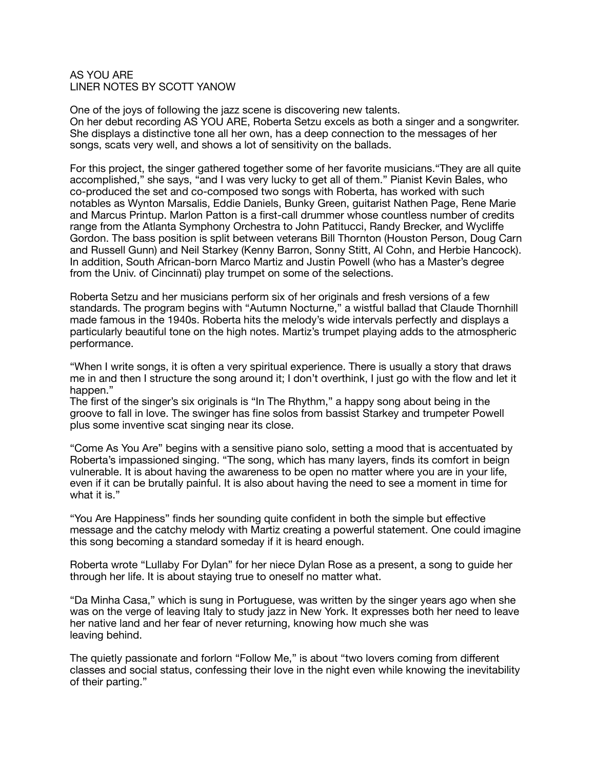## AS YOU ARE LINER NOTES BY SCOTT YANOW

One of the joys of following the jazz scene is discovering new talents. On her debut recording AS YOU ARE, Roberta Setzu excels as both a singer and a songwriter. She displays a distinctive tone all her own, has a deep connection to the messages of her songs, scats very well, and shows a lot of sensitivity on the ballads.

For this project, the singer gathered together some of her favorite musicians."They are all quite accomplished," she says, "and I was very lucky to get all of them." Pianist Kevin Bales, who co-produced the set and co-composed two songs with Roberta, has worked with such notables as Wynton Marsalis, Eddie Daniels, Bunky Green, guitarist Nathen Page, Rene Marie and Marcus Printup. Marlon Patton is a first-call drummer whose countless number of credits range from the Atlanta Symphony Orchestra to John Patitucci, Randy Brecker, and Wycliffe Gordon. The bass position is split between veterans Bill Thornton (Houston Person, Doug Carn and Russell Gunn) and Neil Starkey (Kenny Barron, Sonny Stitt, Al Cohn, and Herbie Hancock). In addition, South African-born Marco Martiz and Justin Powell (who has a Master's degree from the Univ. of Cincinnati) play trumpet on some of the selections.

Roberta Setzu and her musicians perform six of her originals and fresh versions of a few standards. The program begins with "Autumn Nocturne," a wistful ballad that Claude Thornhill made famous in the 1940s. Roberta hits the melody's wide intervals perfectly and displays a particularly beautiful tone on the high notes. Martiz's trumpet playing adds to the atmospheric performance.

"When I write songs, it is often a very spiritual experience. There is usually a story that draws me in and then I structure the song around it; I don't overthink, I just go with the flow and let it happen."

The first of the singer's six originals is "In The Rhythm," a happy song about being in the groove to fall in love. The swinger has fine solos from bassist Starkey and trumpeter Powell plus some inventive scat singing near its close.

"Come As You Are" begins with a sensitive piano solo, setting a mood that is accentuated by Roberta's impassioned singing. "The song, which has many layers, finds its comfort in beign vulnerable. It is about having the awareness to be open no matter where you are in your life, even if it can be brutally painful. It is also about having the need to see a moment in time for what it is."

"You Are Happiness" finds her sounding quite confident in both the simple but effective message and the catchy melody with Martiz creating a powerful statement. One could imagine this song becoming a standard someday if it is heard enough.

Roberta wrote "Lullaby For Dylan" for her niece Dylan Rose as a present, a song to guide her through her life. It is about staying true to oneself no matter what.

"Da Minha Casa," which is sung in Portuguese, was written by the singer years ago when she was on the verge of leaving Italy to study jazz in New York. It expresses both her need to leave her native land and her fear of never returning, knowing how much she was leaving behind.

The quietly passionate and forlorn "Follow Me," is about "two lovers coming from different classes and social status, confessing their love in the night even while knowing the inevitability of their parting."